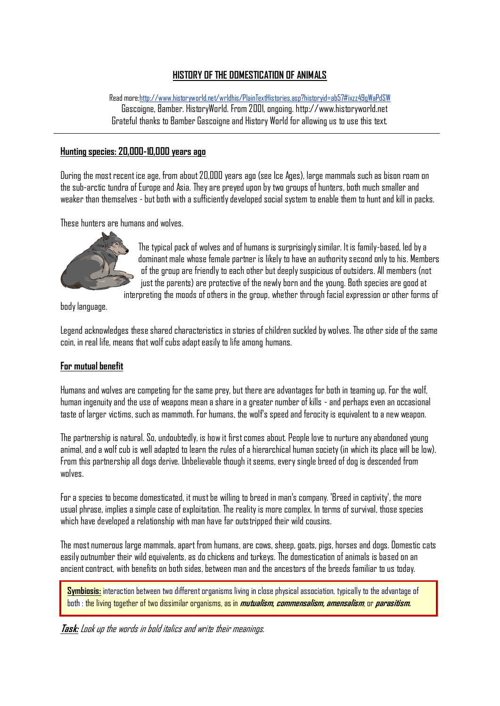#### **HISTORY OF THE DOMESTICATION OF ANIMALS**

Read mor[e:http://www.historyworld.net/wrldhis/PlainTextHistories.asp?historyid=ab57#ixzz49gWaPdSW](http://www.historyworld.net/wrldhis/PlainTextHistories.asp?historyid=ab57#ixzz49gWaPdSW)

Gascoigne, Bamber. HistoryWorld. From 2001, ongoing. http://www.historyworld.net Grateful thanks to Bamber Gascoigne and History World for allowing us to use this text.

#### **Hunting species: 20,000-10,000 years ago**

During the most recent ice age, from about 20,000 years ago (see Ice Ages), large mammals such as bison roam on the sub-arctic tundra of Europe and Asia. They are preyed upon by two groups of hunters, both much smaller and weaker than themselves -but both with a sufficiently developed social system to enable them to hunt and kill in packs.

These hunters are humans and wolves.



The typical pack of wolves and of humans is surprisingly similar. It is family-based, led by a dominant male whose female partner is likely to have an authority second only to his. Members of the group are friendly to each other but deeply suspicious of outsiders. All members (not just the parents) are protective of the newly born and the young. Both species are good at

interpreting the moods of others in the group, whether through facial expression or other forms of

body language.

Legend acknowledges these shared characteristics in stories of children suckled by wolves. The other side of the same coin, in real life, means that wolf cubs adapt easily to life among humans.

## **For mutual benefit**

Humans and wolves are competing for the same prey, but there are advantages for both in teaming up. For the wolf, human ingenuity and the use of weapons mean a share in a greater number of kills - and perhaps even an occasional taste of larger victims, such as mammoth. For humans, the wolf's speed and ferocity is equivalent to a new weapon.

The partnership is natural. So, undoubtedly, is how it first comes about. People love to nurture any abandoned young animal, and a wolf cub is well adapted to learn the rules of a hierarchical human society (in which its place will be low). From this partnership all dogs derive. Unbelievable though it seems, every single breed of dog is descended from wnlves

For a species to become domesticated, it must be willing to breed in man's company. 'Breed in captivity', the more usual phrase, implies a simple case of exploitation. The reality is more complex. In terms of survival, those species which have developed a relationship with man have far outstripped their wild cousins.

The most numerous large mammals, apart from humans, are cows, sheep, goats, pigs, horses and dogs. Domestic cats easily outnumber their wild equivalents, as do chickens and turkeys. The domestication of animals is based on an ancient contract, with benefits on both sides, between man and the ancestors of the breeds familiar to us today.

**Symbiosis:** interaction between two different organisms living in close physical association, typically to the advantage of both : the living together of two dissimilar organisms, as in **mutualism, commensalism, amensalism**, or **parasitism.**

**Task:** Look up the words in bold italics and write their meanings.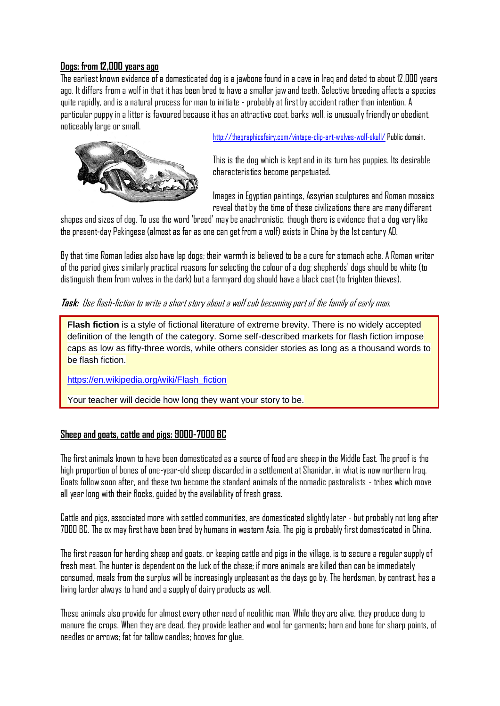### **Dogs: from 12,000 years ago**

The earliest known evidence of a domesticated dog is a jawbone found in a cave in Iraq and dated to about 12,000 years ago. It differs from a wolf in that it has been bred to have a smaller jaw and teeth. Selective breeding affects a species quite rapidly, and is a natural process for man to initiate - probably at first by accident rather than intention. A particular puppy in a litter is favoured because it has an attractive coat, barks well, is unusually friendly or obedient, noticeably large or small.



<http://thegraphicsfairy.com/vintage-clip-art-wolves-wolf-skull/> Public domain.

This is the dog which is kept and in its turn has puppies. Its desirable characteristics become perpetuated.

Images in Egyptian paintings, Assyrian sculptures and Roman mosaics reveal that by the time of these civilizations there are many different

shapes and sizes of dog. To use the word 'breed' may be anachronistic, though there is evidence that a dog very like the present-day Pekingese (almost as far as one can get from a wolf) exists in China by the 1st century AD.

By that time Roman ladies also have lap dogs; their warmth is believed to be a cure for stomach ache. A Roman writer of the period gives similarly practical reasons for selecting the colour of a dog: shepherds' dogs should be white (to distinguish them from wolves in the dark) but a farmyard dog should have a black coat (to frighten thieves).

#### **Task:** Use flash-fiction to write a short story about a wolf cub becoming part of the family of early man.

**Flash fiction** is a style of fictional [literature](https://en.wikipedia.org/wiki/Literature) of extreme brevity. There is no widely accepted definition of the length of the category. Some self-described markets for flash fiction impose caps as low as fifty-three words, while others consider stories as long as a thousand words to be flash fiction.

[https://en.wikipedia.org/wiki/Flash\\_fiction](https://en.wikipedia.org/wiki/Flash_fiction)

Your teacher will decide how long they want your story to be.

#### **Sheep and goats, cattle and pigs: 9000-7000 BC**

The first animals known to have been domesticated as a source of food are sheep in the Middle East. The proof is the high proportion of bones of one-year-old sheep discarded in a settlement at Shanidar, in what is now northern Iraq. Goats follow soon after, and these two become the standard animals of the nomadic pastoralists - tribes which move all year long with their flocks, guided by the availability of fresh grass.

Cattle and pigs, associated more with settled communities, are domesticated slightly later - but probably not long after 7000 BC. The ox may first have been bred by humans in western Asia. The pig is probably first domesticated in China.

The first reason for herding sheep and goats, or keeping cattle and pigs in the village, is to secure a regular supply of fresh meat. The hunter is dependent on the luck of the chase; if more animals are killed than can be immediately consumed, meals from the surplus will be increasingly unpleasant as the days go by. The herdsman, by contrast, has a living larder always to hand and a supply of dairy products as well.

These animals also provide for almost every other need of neolithic man. While they are alive, they produce dung to manure the crops. When they are dead, they provide leather and wool for garments; horn and bone for sharp points, of needles or arrows; fat for tallow candles; hooves for glue.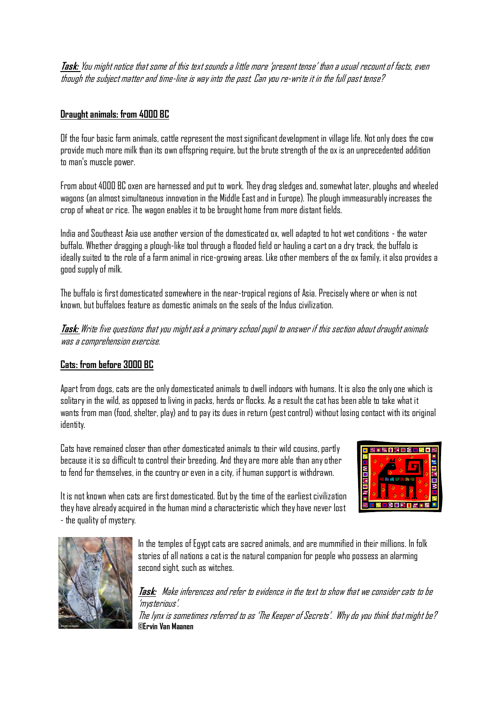**Task:** You might notice that some of this text sounds a little more 'present tense' than a usual recount of facts, even though the subject matter and time-line is way into the past. Can you re-write it in the full past tense?

# **Draught animals: from 4000 BC**

Of the four basic farm animals, cattle represent the most significant development in village life. Not only does the cow provide much more milk than its own offspring require, but the brute strength of the ox is an unprecedented addition to man's muscle power.

From about 4000 BC oxen are harnessed and put to work. They drag sledges and, somewhat later, ploughs and wheeled wagons (an almost simultaneous innovation in the Middle East and in Europe). The plough immeasurably increases the crop of wheat or rice. The wagon enables it to be brought home from more distant fields.

India and Southeast Asia use another version of the domesticated ox, well adapted to hot wet conditions - the water buffalo. Whether dragging a plough-like tool through a flooded field or hauling a cart on a dry track, the buffalo is ideally suited to the role of a farm animal in rice-growing areas. Like other members of the ox family, it also provides a good supply of milk.

The buffalo is first domesticated somewhere in the near-tropical regions of Asia. Precisely where or when is not known, but buffaloes feature as domestic animals on the seals of the Indus civilization.

**Task:** Write five questions that you might ask a primary school pupil to answer if this section about draught animals was a comprehension exercise.

## **Cats: from before 3000 BC**

Apart from dogs, cats are the only domesticated animals to dwell indoors with humans. It is also the only one which is solitary in the wild, as opposed to living in packs, herds or flocks. As a result the cat has been able to take what it wants from man (food, shelter, play) and to pay its dues in return (pest control) without losing contact with its original identity.

Cats have remained closer than other domesticated animals to their wild cousins, partly because it is so difficult to control their breeding. And they are more able than any other to fend for themselves, in the country or even in a city, if human support is withdrawn.



It is not known when cats are first domesticated. But by the time of the earliest civilization they have already acquired in the human mind a characteristic which they have never lost - the quality of mystery.



In the temples of Egypt cats are sacred animals, and are mummified in their millions. In folk stories of all nations a cat is the natural companion for people who possess an alarming second sight, such as witches.

**Task:** Make inferences and refer to evidence in the text to show that we consider cats to be 'mysterious'.

The lynx is sometimes referred to as 'The Keeper of Secrets'. Why do you think that might be? **©Ervin Van Maanen**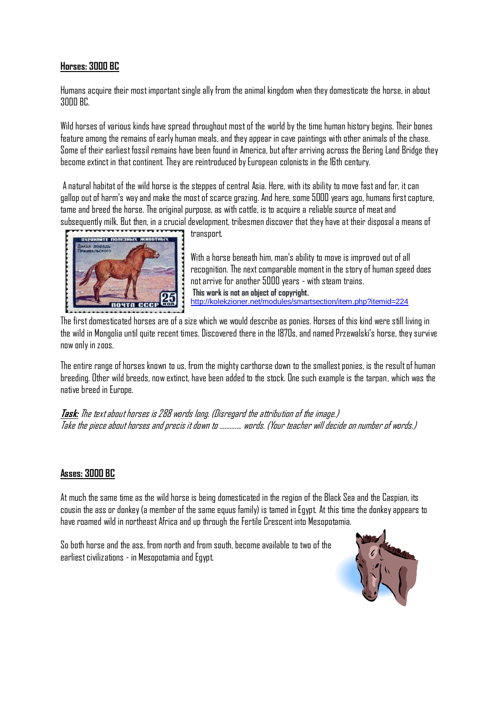## **Horses: 3000 BC**

Humans acquire their most important single ally from the animal kingdom when they domesticate the horse, in about 3000 BC.

Wild horses of various kinds have spread throughout most of the world by the time human history begins. Their bones feature among the remains of early human meals, and they appear in cave paintings with other animals of the chase. Some of their earliest fossil remains have been found in America, but after arriving across the Bering Land Bridge they become extinct in that continent. They are reintroduced by European colonists in the 16th century.

A natural habitat of the wild horse is the steppes of central Asia. Here, with its ability to move fast and far, it can gallop out of harm's way and make the most of scarce grazing. And here, some 5000 years ago, humans first capture, tame and breed the horse. The original purpose, as with cattle, is to acquire a reliable source of meat and subsequently milk. But then, in a crucial development, tribesmen discover that they have at their disposal a means of



transport.

With a horse beneath him, man's ability to move is improved out of all recognition. The next comparable moment in the story of human speed does not arrive for another 5000 years - with steam trains. **This work is not an object of copyright.**  <http://kolekzioner.net/modules/smartsection/item.php?itemid=224>

The first domesticated horses are of a size which we would describe as ponies. Horses of this kind were still living in the wild in Mongolia until quite recent times. Discovered there in the 1870s, and named Przewalski's horse, they survive now only in zoos.

The entire range of horses known to us, from the mighty carthorse down to the smallest ponies, is the result of human breeding. Other wild breeds, now extinct, have been added to the stock. One such example is the tarpan, which was the native breed in Europe.

**Task:** The text about horses is 288 words long. (Disregard the attribution of the image.) Take the piece about horses and precis it down to …………. words. (Your teacher will decide on number of words.)

#### **Asses: 3000 BC**

At much the same time as the wild horse is being domesticated in the region of the Black Sea and the Caspian, its cousin the ass or donkey (a member of the same equus family) is tamed in Egypt. At this time the donkey appears to have roamed wild in northeast Africa and up through the Fertile Crescent into Mesopotamia.

So both horse and the ass, from north and from south, become available to two of the earliest civilizations - in Mesopotamia and Egypt.

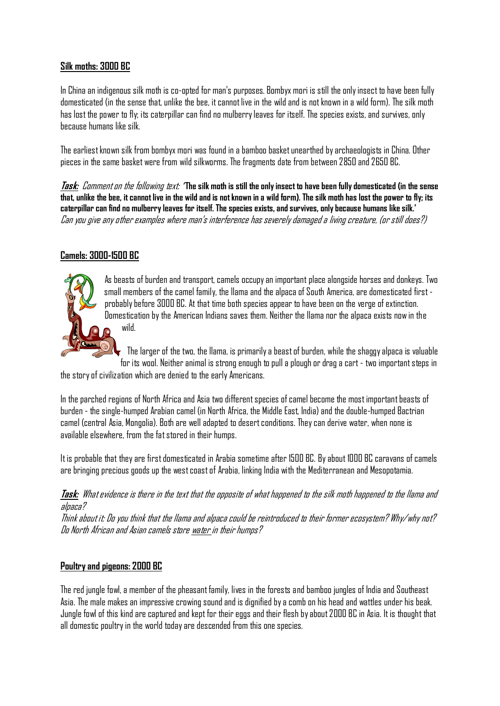## **Silk moths: 3000 BC**

In China an indigenous silk moth is co-opted for man's purposes. Bombyx mori is still the only insect to have been fully domesticated (in the sense that, unlike the bee, it cannot live in the wild and is not known in a wild form). The silk moth has lost the power to fly; its caterpillar can find no mulberry leaves for itself. The species exists, and survives, only because humans like silk.

The earliest known silk from bombyx mori was found in a bamboo basket unearthed by archaeologists in China. Other pieces in the same basket were from wild silkworms. The fragments date from between 2850 and 2650 BC.

**Task:** Comment on the following text: **' The silk moth is still the only insect to have been fully domesticated (in the sense that, unlike the bee, it cannot live in the wild and is not known in a wild form). The silk moth has lost the power to fly; its caterpillar can find no mulberry leaves for itself. The species exists, and survives, only because humans like silk.'**  Can you give any other examples where man's interference has severely damaged a living creature, (or still does?)

# **Camels: 3000-1500 BC**



As beasts of burden and transport, camels occupy an important place alongside horses and donkeys. Two small members of the camel family, the llama and the alpaca of South America, are domesticated first probably before 3000 BC. At that time both species appear to have been on the verge of extinction. Domestication by the American Indians saves them. Neither the llama nor the alpaca exists now in the wild.

 $\blacklozenge$  The larger of the two, the llama, is primarily a beast of burden, while the shaggy alpaca is valuable for its wool. Neither animal is strong enough to pull a plough or drag a cart - two important steps in

the story of civilization which are denied to the early Americans.

In the parched regions of North Africa and Asia two different species of camel become the most important beasts of burden - the single-humped Arabian camel (in North Africa, the Middle East, India) and the double-humped Bactrian camel (central Asia, Mongolia). Both are well adapted to desert conditions. They can derive water, when none is available elsewhere, from the fat stored in their humps.

It is probable that they are first domesticated in Arabia sometime after 1500 BC. By about 1000 BC caravans of camels are bringing precious goods up the west coast of Arabia, linking India with the Mediterranean and Mesopotamia.

**Task:** What evidence is there in the text that the opposite of what happened to the silk moth happened to the llama and alpaca?

Think about it: Do you think that the llama and alpaca could be reintroduced to their former ecosystem? Why/why not? Do North African and Asian camels store water in their humps?

## **Poultry and pigeons: 2000 BC**

The red jungle fowl, a member of the pheasant family, lives in the forests and bamboo jungles of India and Southeast Asia. The male makes an impressive crowing sound and is dignified by a comb on his head and wattles under his beak. Jungle fowl of this kind are captured and kept for their eggs and their flesh by about 2000 BC in Asia. It is thought that all domestic poultry in the world today are descended from this one species.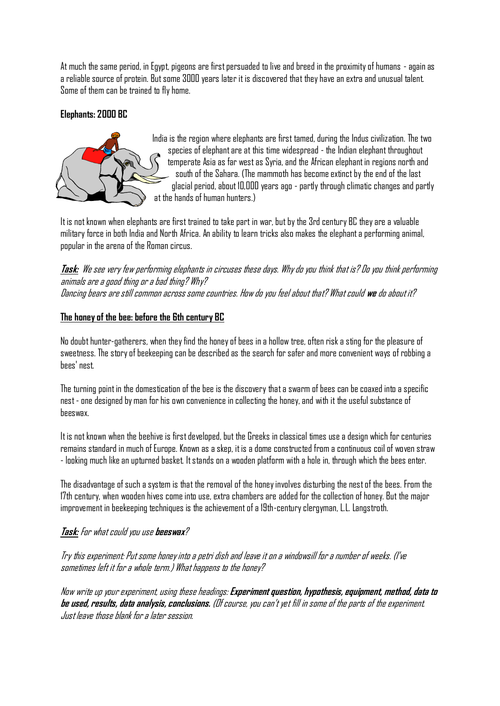At much the same period, in Egypt, pigeons are first persuaded to live and breed in the proximity of humans - again as a reliable source of protein. But some 3000 years later it is discovered that they have an extra and unusual talent. Some of them can be trained to fly home.

## **Elephants: 2000 BC**



India is the region where elephants are first tamed, during the Indus civilization. The two species of elephant are at this time widespread - the Indian elephant throughout temperate Asia as far west as Syria, and the African elephant in regions north and south of the Sahara. (The mammoth has become extinct by the end of the last glacial period, about 10,000 years ago - partly through climatic changes and partly at the hands of human hunters.)

It is not known when elephants are first trained to take part in war, but by the 3rd century BC they are a valuable military force in both India and North Africa. An ability to learn tricks also makes the elephant a performing animal, popular in the arena of the Roman circus.

**Task:** We see very few performing elephants in circuses these days. Why do you think that is? Do you think performing animals are a good thing or a bad thing? Why? Dancing bears are still common across some countries. How do you feel about that? What could **we** do about it?

## **The honey of the bee: before the 6th century BC**

No doubt hunter-gatherers, when they find the honey of bees in a hollow tree, often risk a sting for the pleasure of sweetness. The story of beekeeping can be described as the search for safer and more convenient ways of robbing a bees' nest.

The turning point in the domestication of the bee is the discovery that a swarm of bees can be coaxed into a specific nest - one designed by man for his own convenience in collecting the honey, and with it the useful substance of beeswax.

It is not known when the beehive is first developed, but the Greeks in classical times use a design which for centuries remains standard in much of Europe. Known as a skep, it is a dome constructed from a continuous coil of woven straw - looking much like an upturned basket. It stands on a wooden platform with a hole in, through which the bees enter.

The disadvantage of such a system is that the removal of the honey involves disturbing the nest of the bees. From the 17th century, when wooden hives come into use, extra chambers are added for the collection of honey. But the major improvement in beekeeping techniques is the achievement of a 19th-century clergyman, L.L. Langstroth.

## **Task:** For what could you use **beeswax**?

Try this experiment: Put some honey into a petri dish and leave it on a windowsill for a number of weeks. (I've sometimes left it for a whole term.) What happens to the honey?

Now write up yourexperiment, using these headings: **Experiment question, hypothesis, equipment, method, data to be used, results, data analysis, conclusions.** (Of course, you can't yet fill in some of the parts of the experiment. Just leave those blank for a later session.